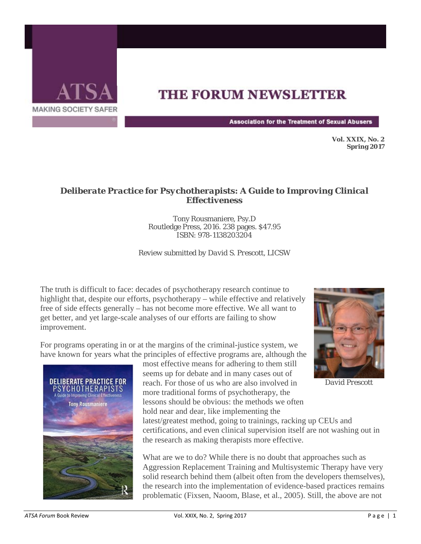

## **THE FORUM NEWSLETTER**

**Association for the Treatment of Sexual Abusers** 

**Vol. XXIX, No. 2 Spring 2017** 

## *Deliberate Practice for Psychotherapists: A Guide to Improving Clinical Effectiveness*

Tony Rousmaniere, Psy.D Routledge Press, 2016. 238 pages. \$47.95 ISBN: 978-1138203204

*Review submitted by David S. Prescott, LICSW*

The truth is difficult to face: decades of psychotherapy research continue to highlight that, despite our efforts, psychotherapy – while effective and relatively free of side effects generally – has not become more effective. We all want to get better, and yet large-scale analyses of our efforts are failing to show improvement.

For programs operating in or at the margins of the criminal-justice system, we have known for years what the principles of effective programs are, although the



most effective means for adhering to them still seems up for debate and in many cases out of reach. For those of us who are also involved in more traditional forms of psychotherapy, the lessons should be obvious: the methods we often hold near and dear, like implementing the

latest/greatest method, going to trainings, racking up CEUs and certifications, and even clinical supervision itself are not washing out in the research as making therapists more effective.

What are we to do? While there is no doubt that approaches such as Aggression Replacement Training and Multisystemic Therapy have very solid research behind them (albeit often from the developers themselves), the research into the implementation of evidence-based practices remains problematic (Fixsen, Naoom, Blase, et al., 2005). Still, the above are not



*David Prescott*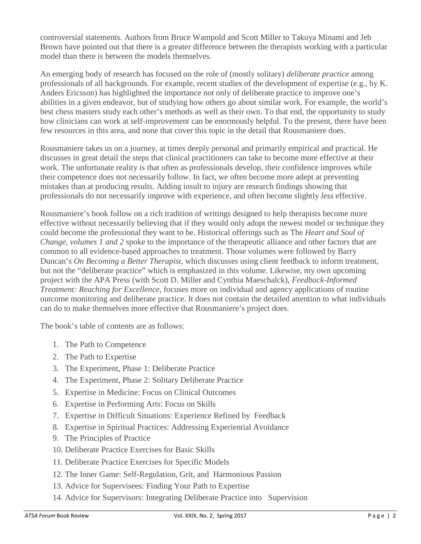controversial statements. Authors from Bruce Wampold and Scott Miller to Takuya Minami and Jeb Brown have pointed out that there is a greater difference between the therapists working with a particular model than there is between the models themselves.

An emerging body of research has focused on the role of (mostly solitary) *deliberate practice* among professionals of all backgrounds. For example, recent studies of the development of expertise (e.g., by K. Anders Ericsson) has highlighted the importance not only of deliberate practice to improve one's abilities in a given endeavor, but of studying how others go about similar work. For example, the world's best chess masters study each other's methods as well as their own. To that end, the opportunity to study how clinicians can work at self-improvement can be enormously helpful. To the present, there have been few resources in this area, and none that cover this topic in the detail that Rousmaniere does.

Rousmaniere takes us on a journey, at times deeply personal and primarily empirical and practical. He discusses in great detail the steps that clinical practitioners can take to become more effective at their work. The unfortunate reality is that often as professionals develop, their confidence improves while their competence does not necessarily follow. In fact, we often become more adept at preventing mistakes than at producing results. Adding insult to injury are research findings showing that professionals do not necessarily improve with experience, and often become slightly *less* effective.

Rousmaniere's book follow on a rich tradition of writings designed to help therapists become more effective without necessarily believing that if they would only adopt the newest model or technique they could become the professional they want to be. Historical offerings such as The *Heart and Soul of Change, volumes 1 and 2* spoke to the importance of the therapeutic alliance and other factors that are common to all evidence-based approaches to treatment. Those volumes were followed by Barry Duncan's *On Becoming a Better Therapist,* which discusses using client feedback to inform treatment, but not the "deliberate practice" which is emphasized in this volume. Likewise, my own upcoming project with the APA Press (with Scott D. Miller and Cynthia Maeschalck), *Feedback-Informed Treatment: Reaching for Excellence*, focuses more on individual and agency applications of routine outcome monitoring and deliberate practice. It does not contain the detailed attention to what individuals can do to make themselves more effective that Rousmaniere's project does.

The book's table of contents are as follows:

- 1. The Path to Competence
- 2. The Path to Expertise
- 3. The Experiment, Phase 1: Deliberate Practice
- 4. The Experiment, Phase 2: Solitary Deliberate Practice
- 5. Expertise in Medicine: Focus on Clinical Outcomes
- 6. Expertise in Performing Arts: Focus on Skills
- 7. Expertise in Difficult Situations: Experience Refined by Feedback
- 8. Expertise in Spiritual Practices: Addressing Experiential Avoidance
- 9. The Principles of Practice
- 10. Deliberate Practice Exercises for Basic Skills
- 11. Deliberate Practice Exercises for Specific Models
- 12. The Inner Game: Self-Regulation, Grit, and Harmonious Passion
- 13. Advice for Supervisees: Finding Your Path to Expertise
- 14. Advice for Supervisors: Integrating Deliberate Practice into Supervision